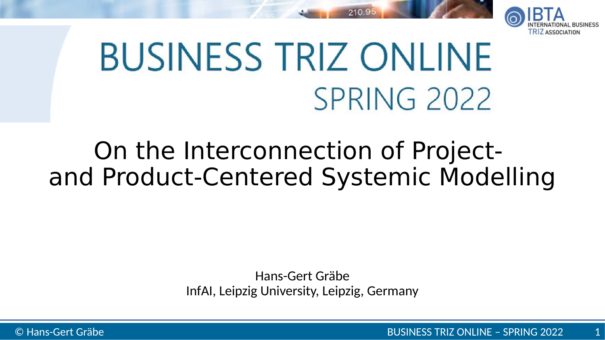

# **BUSINESS TRIZ ONLINE** SPRING 2022

210.9

#### On the Interconnection of Projectand Product-Centered Systemic Modelling

Hans-Gert Gräbe InfAI, Leipzig University, Leipzig, Germany

© Hans-Gert Gräbe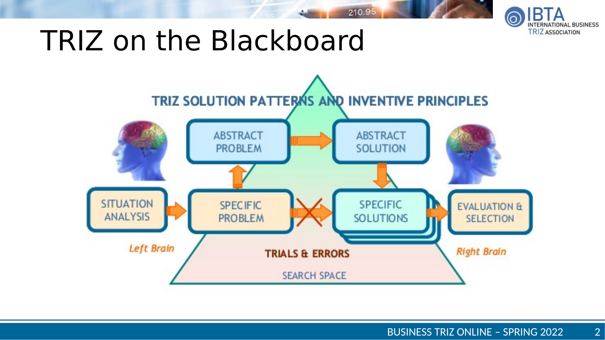

#### TRIZ on the Blackboard



210.95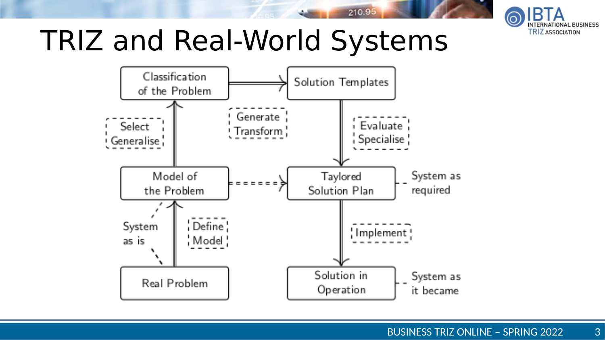

# TRIZ and Real-World Systems



210.95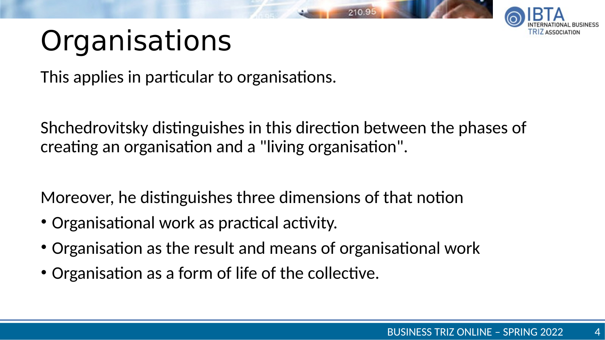

# **Organisations**

This applies in particular to organisations.

Shchedrovitsky distinguishes in this direction between the phases of creating an organisation and a "living organisation".

Moreover, he distinguishes three dimensions of that notion

- Organisational work as practical activity.
- Organisation as the result and means of organisational work
- Organisation as a form of life of the collective.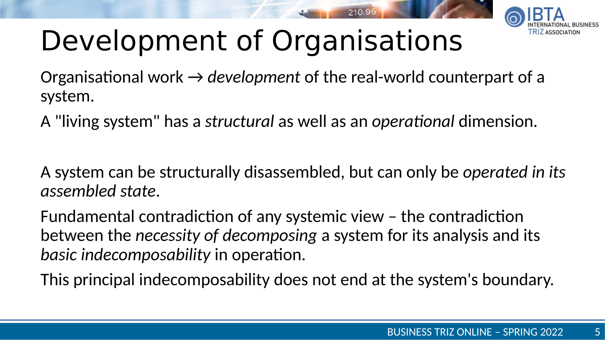

# Development of Organisations

Organisational work → *development* of the real-world counterpart of a system.

A "living system" has a *structural* as well as an *operational* dimension.

A system can be structurally disassembled, but can only be *operated in its assembled state*.

Fundamental contradiction of any systemic view – the contradiction between the *necessity of decomposing* a system for its analysis and its *basic indecomposability* in operation.

This principal indecomposability does not end at the system's boundary.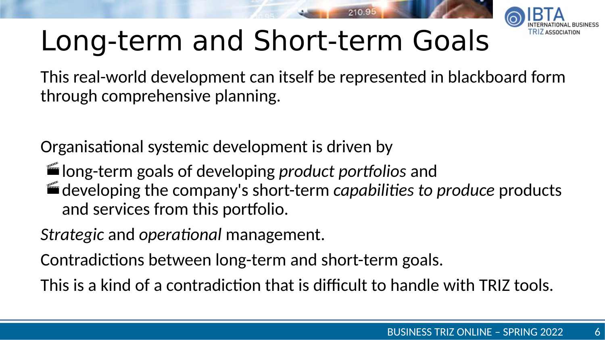

# Long-term and Short-term Goals

This real-world development can itself be represented in blackboard form through comprehensive planning.

Organisational systemic development is driven by

long-term goals of developing *product portfolios* and developing the company's short-term *capabilities to produce* products and services from this portfolio.

*Strategic* and *operational* management.

Contradictions between long-term and short-term goals.

This is a kind of a contradiction that is difficult to handle with TRIZ tools.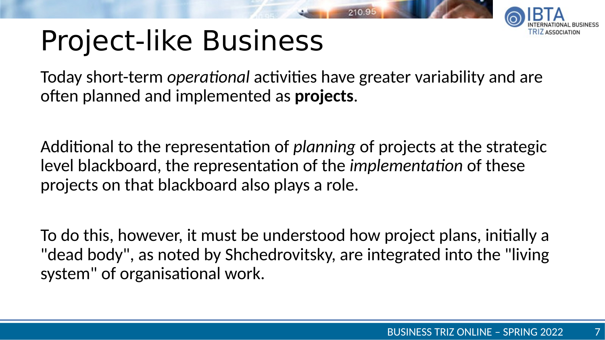# Project-like Business

Today short-term *operational* activities have greater variability and are often planned and implemented as **projects**.

Additional to the representation of *planning* of projects at the strategic level blackboard, the representation of the *implementation* of these projects on that blackboard also plays a role.

To do this, however, it must be understood how project plans, initially a "dead body", as noted by Shchedrovitsky, are integrated into the "living system" of organisational work.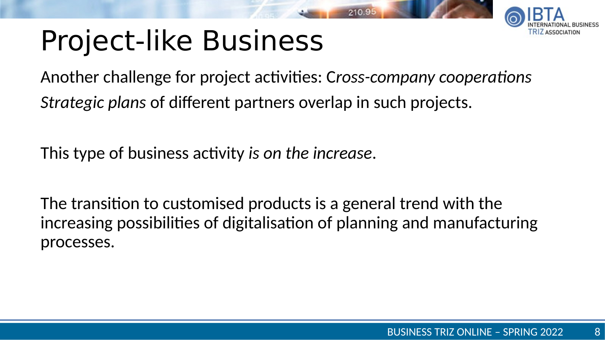# Project-like Business



Another challenge for project activities: C*ross-company cooperations Strategic plans* of different partners overlap in such projects.

This type of business activity *is on the increase*.

The transition to customised products is a general trend with the increasing possibilities of digitalisation of planning and manufacturing processes.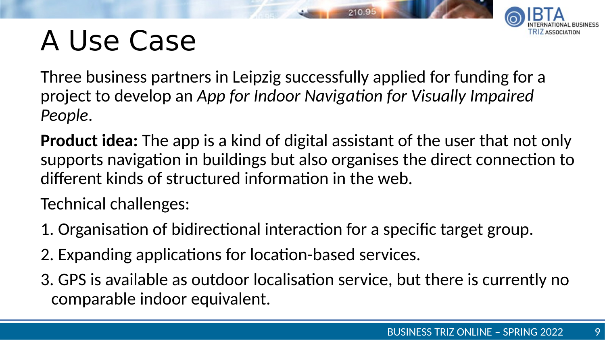# A Use Case



Three business partners in Leipzig successfully applied for funding for a project to develop an *App for Indoor Navigation for Visually Impaired People*.

**Product idea:** The app is a kind of digital assistant of the user that not only supports navigation in buildings but also organises the direct connection to different kinds of structured information in the web.

Technical challenges:

- 1. Organisation of bidirectional interaction for a specific target group.
- 2. Expanding applications for location-based services.
- 3. GPS is available as outdoor localisation service, but there is currently no comparable indoor equivalent.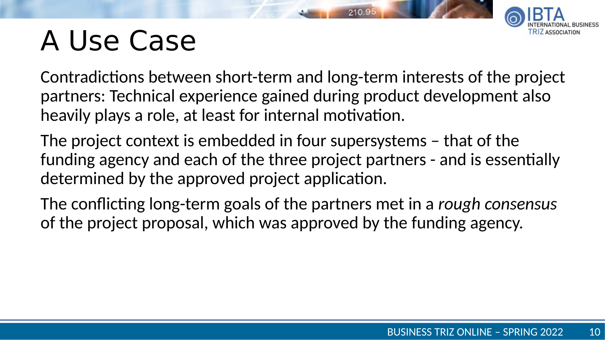## A Use Case

Contradictions between short-term and long-term interests of the project partners: Technical experience gained during product development also heavily plays a role, at least for internal motivation.

The project context is embedded in four supersystems – that of the funding agency and each of the three project partners - and is essentially determined by the approved project application.

The conflicting long-term goals of the partners met in a *rough consensus* of the project proposal, which was approved by the funding agency.